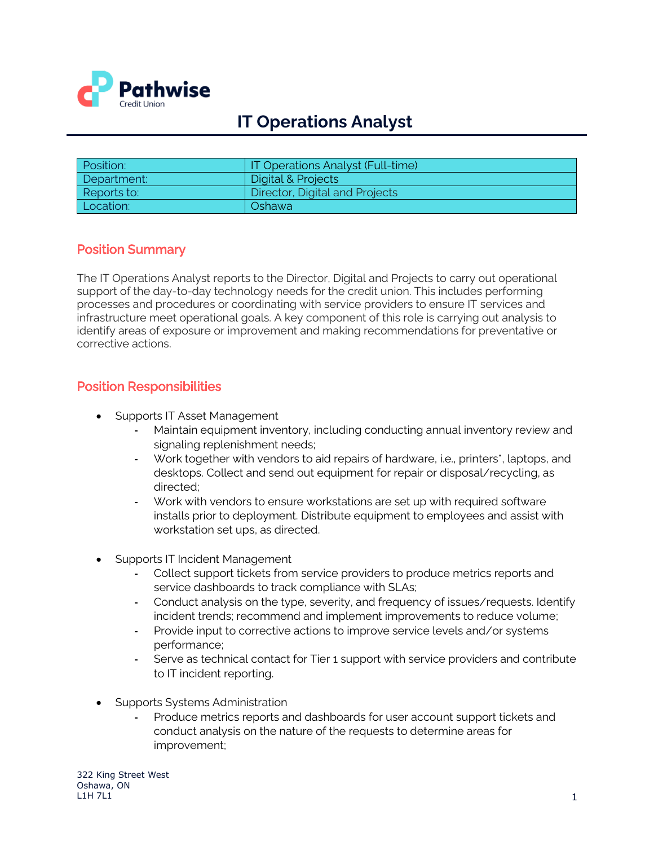

# **IT Operations Analyst**

| Position:   | IT Operations Analyst (Full-time) |
|-------------|-----------------------------------|
| Department: | Digital & Projects                |
| Reports to: | Director, Digital and Projects    |
| Location:   | Oshawa                            |

#### Position Summary

The IT Operations Analyst reports to the Director, Digital and Projects to carry out operational support of the day-to-day technology needs for the credit union. This includes performing processes and procedures or coordinating with service providers to ensure IT services and infrastructure meet operational goals. A key component of this role is carrying out analysis to identify areas of exposure or improvement and making recommendations for preventative or corrective actions.

#### Position Responsibilities

- Supports IT Asset Management
	- **-** Maintain equipment inventory, including conducting annual inventory review and signaling replenishment needs;
	- **-** Work together with vendors to aid repairs of hardware, i.e., printers\*, laptops, and desktops. Collect and send out equipment for repair or disposal/recycling, as directed;
	- **-** Work with vendors to ensure workstations are set up with required software installs prior to deployment. Distribute equipment to employees and assist with workstation set ups, as directed.
- Supports IT Incident Management
	- **-** Collect support tickets from service providers to produce metrics reports and service dashboards to track compliance with SLAs;
	- **-** Conduct analysis on the type, severity, and frequency of issues/requests. Identify incident trends; recommend and implement improvements to reduce volume;
	- **-** Provide input to corrective actions to improve service levels and/or systems performance;
	- **-** Serve as technical contact for Tier 1 support with service providers and contribute to IT incident reporting.
- Supports Systems Administration
	- **-** Produce metrics reports and dashboards for user account support tickets and conduct analysis on the nature of the requests to determine areas for improvement;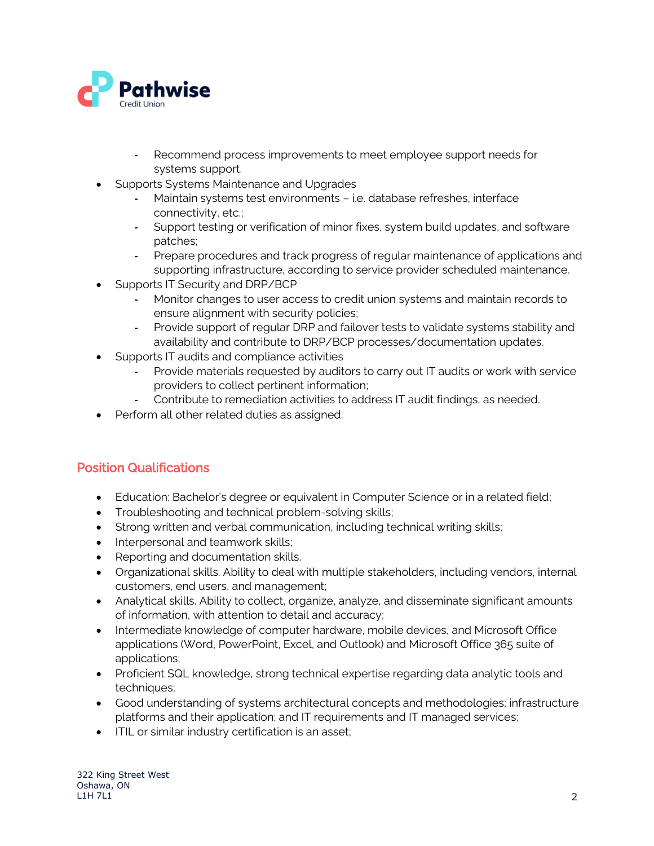

- **-** Recommend process improvements to meet employee support needs for systems support.
- Supports Systems Maintenance and Upgrades
	- **-** Maintain systems test environments i.e. database refreshes, interface connectivity, etc.;
	- **-** Support testing or verification of minor fixes, system build updates, and software patches;
	- **-** Prepare procedures and track progress of regular maintenance of applications and supporting infrastructure, according to service provider scheduled maintenance.
- Supports IT Security and DRP/BCP
	- **-** Monitor changes to user access to credit union systems and maintain records to ensure alignment with security policies;
	- **-** Provide support of regular DRP and failover tests to validate systems stability and availability and contribute to DRP/BCP processes/documentation updates.
- Supports IT audits and compliance activities
	- **-** Provide materials requested by auditors to carry out IT audits or work with service providers to collect pertinent information;
	- **-** Contribute to remediation activities to address IT audit findings, as needed.
- Perform all other related duties as assigned.

## Position Qualifications

- Education: Bachelor's degree or equivalent in Computer Science or in a related field;
- Troubleshooting and technical problem-solving skills;
- Strong written and verbal communication, including technical writing skills;
- Interpersonal and teamwork skills;
- Reporting and documentation skills.
- Organizational skills. Ability to deal with multiple stakeholders, including vendors, internal customers, end users, and management;
- Analytical skills. Ability to collect, organize, analyze, and disseminate significant amounts of information, with attention to detail and accuracy;
- Intermediate knowledge of computer hardware, mobile devices, and Microsoft Office applications (Word, PowerPoint, Excel, and Outlook) and Microsoft Office 365 suite of applications;
- Proficient SQL knowledge, strong technical expertise regarding data analytic tools and techniques;
- Good understanding of systems architectural concepts and methodologies; infrastructure platforms and their application; and IT requirements and IT managed services;
- ITIL or similar industry certification is an asset;